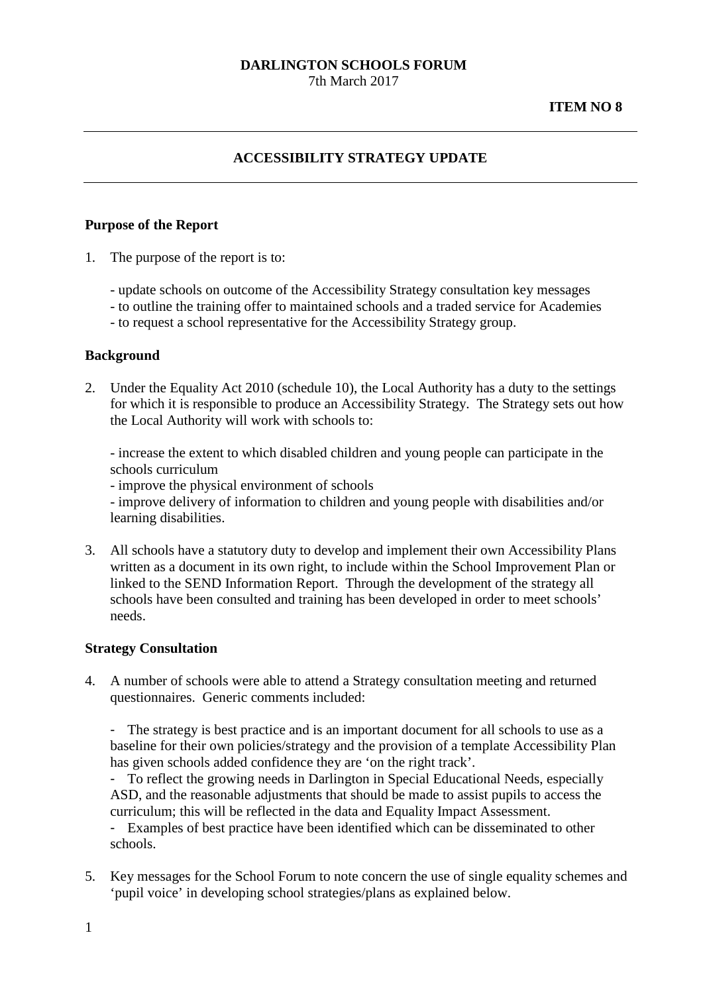7th March 2017

### **ITEM NO 8**

# **ACCESSIBILITY STRATEGY UPDATE**

#### **Purpose of the Report**

- 1. The purpose of the report is to:
	- update schools on outcome of the Accessibility Strategy consultation key messages
	- to outline the training offer to maintained schools and a traded service for Academies
	- to request a school representative for the Accessibility Strategy group.

#### **Background**

2. Under the Equality Act 2010 (schedule 10), the Local Authority has a duty to the settings for which it is responsible to produce an Accessibility Strategy. The Strategy sets out how the Local Authority will work with schools to:

- increase the extent to which disabled children and young people can participate in the schools curriculum

- improve the physical environment of schools

- improve delivery of information to children and young people with disabilities and/or learning disabilities.

3. All schools have a statutory duty to develop and implement their own Accessibility Plans written as a document in its own right, to include within the School Improvement Plan or linked to the SEND Information Report. Through the development of the strategy all schools have been consulted and training has been developed in order to meet schools' needs.

#### **Strategy Consultation**

4. A number of schools were able to attend a Strategy consultation meeting and returned questionnaires. Generic comments included:

- The strategy is best practice and is an important document for all schools to use as a baseline for their own policies/strategy and the provision of a template Accessibility Plan has given schools added confidence they are 'on the right track'.

- To reflect the growing needs in Darlington in Special Educational Needs, especially ASD, and the reasonable adjustments that should be made to assist pupils to access the curriculum; this will be reflected in the data and Equality Impact Assessment.

- Examples of best practice have been identified which can be disseminated to other schools.

5. Key messages for the School Forum to note concern the use of single equality schemes and 'pupil voice' in developing school strategies/plans as explained below.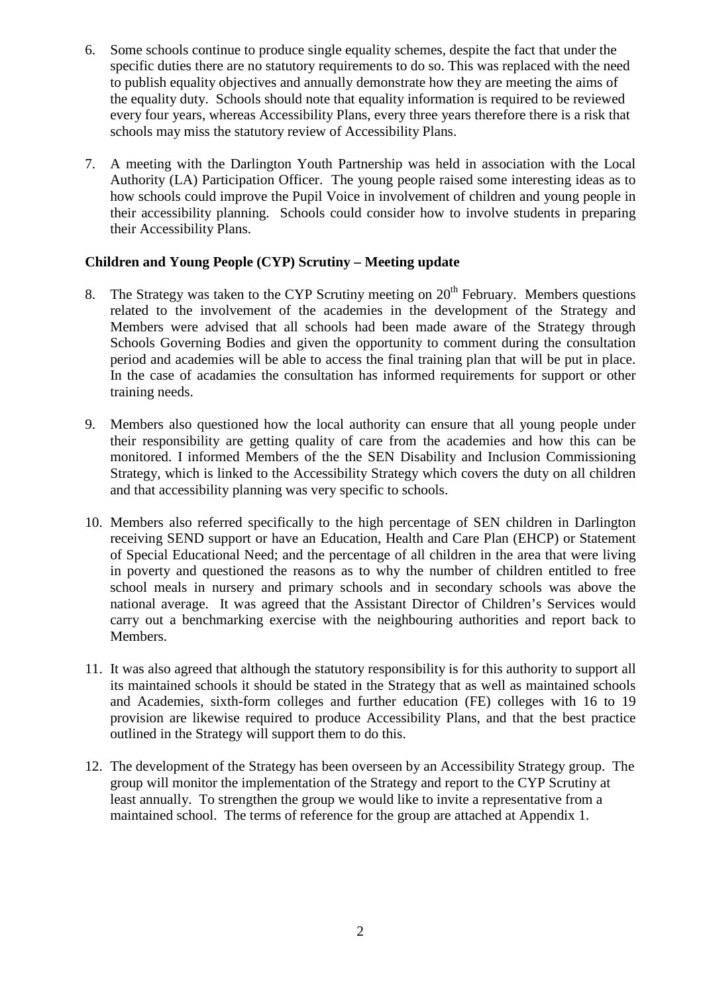- 6. Some schools continue to produce single equality schemes, despite the fact that under the specific duties there are no statutory requirements to do so. This was replaced with the need to publish equality objectives and annually demonstrate how they are meeting the aims of the equality duty. Schools should note that equality information is required to be reviewed every four years, whereas Accessibility Plans, every three years therefore there is a risk that schools may miss the statutory review of Accessibility Plans.
- 7. A meeting with the Darlington Youth Partnership was held in association with the Local Authority (LA) Participation Officer. The young people raised some interesting ideas as to how schools could improve the Pupil Voice in involvement of children and young people in their accessibility planning. Schools could consider how to involve students in preparing their Accessibility Plans.

# **Children and Young People (CYP) Scrutiny – Meeting update**

- 8. The Strategy was taken to the CYP Scrutiny meeting on  $20<sup>th</sup>$  February. Members questions related to the involvement of the academies in the development of the Strategy and Members were advised that all schools had been made aware of the Strategy through Schools Governing Bodies and given the opportunity to comment during the consultation period and academies will be able to access the final training plan that will be put in place. In the case of acadamies the consultation has informed requirements for support or other training needs.
- 9. Members also questioned how the local authority can ensure that all young people under their responsibility are getting quality of care from the academies and how this can be monitored. I informed Members of the the SEN Disability and Inclusion Commissioning Strategy, which is linked to the Accessibility Strategy which covers the duty on all children and that accessibility planning was very specific to schools.
- 10. Members also referred specifically to the high percentage of SEN children in Darlington receiving SEND support or have an Education, Health and Care Plan (EHCP) or Statement of Special Educational Need; and the percentage of all children in the area that were living in poverty and questioned the reasons as to why the number of children entitled to free school meals in nursery and primary schools and in secondary schools was above the national average. It was agreed that the Assistant Director of Children's Services would carry out a benchmarking exercise with the neighbouring authorities and report back to Members.
- 11. It was also agreed that although the statutory responsibility is for this authority to support all its maintained schools it should be stated in the Strategy that as well as maintained schools and Academies, sixth-form colleges and further education (FE) colleges with 16 to 19 provision are likewise required to produce Accessibility Plans, and that the best practice outlined in the Strategy will support them to do this.
- 12. The development of the Strategy has been overseen by an Accessibility Strategy group. The group will monitor the implementation of the Strategy and report to the CYP Scrutiny at least annually. To strengthen the group we would like to invite a representative from a maintained school. The terms of reference for the group are attached at Appendix 1.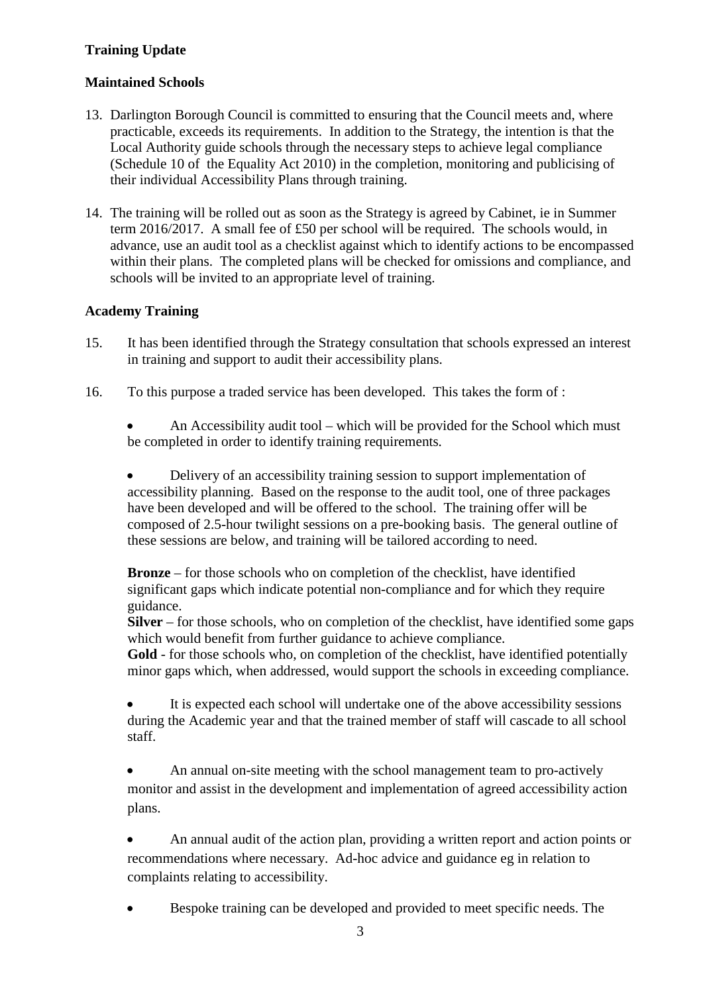# **Training Update**

### **Maintained Schools**

- 13. Darlington Borough Council is committed to ensuring that the Council meets and, where practicable, exceeds its requirements. In addition to the Strategy, the intention is that the Local Authority guide schools through the necessary steps to achieve legal compliance (Schedule 10 of the Equality Act 2010) in the completion, monitoring and publicising of their individual Accessibility Plans through training.
- 14. The training will be rolled out as soon as the Strategy is agreed by Cabinet, ie in Summer term 2016/2017. A small fee of £50 per school will be required. The schools would, in advance, use an audit tool as a checklist against which to identify actions to be encompassed within their plans. The completed plans will be checked for omissions and compliance, and schools will be invited to an appropriate level of training.

# **Academy Training**

- 15. It has been identified through the Strategy consultation that schools expressed an interest in training and support to audit their accessibility plans.
- 16. To this purpose a traded service has been developed. This takes the form of :

• An Accessibility audit tool – which will be provided for the School which must be completed in order to identify training requirements*.* 

• Delivery of an accessibility training session to support implementation of accessibility planning. Based on the response to the audit tool, one of three packages have been developed and will be offered to the school. The training offer will be composed of 2.5-hour twilight sessions on a pre-booking basis. The general outline of these sessions are below, and training will be tailored according to need.

**Bronze** – for those schools who on completion of the checklist, have identified significant gaps which indicate potential non-compliance and for which they require guidance.

**Silver** – for those schools, who on completion of the checklist, have identified some gaps which would benefit from further guidance to achieve compliance.

Gold - for those schools who, on completion of the checklist, have identified potentially minor gaps which, when addressed, would support the schools in exceeding compliance.

It is expected each school will undertake one of the above accessibility sessions during the Academic year and that the trained member of staff will cascade to all school staff.

• An annual on-site meeting with the school management team to pro-actively monitor and assist in the development and implementation of agreed accessibility action plans.

• An annual audit of the action plan, providing a written report and action points or recommendations where necessary. Ad-hoc advice and guidance eg in relation to complaints relating to accessibility.

• Bespoke training can be developed and provided to meet specific needs. The